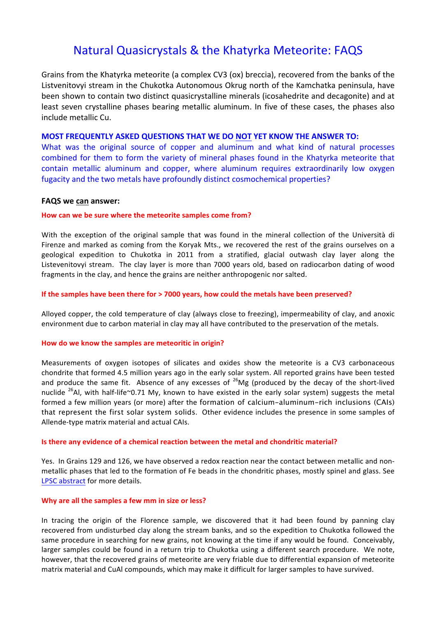# Natural Quasicrystals & the Khatyrka Meteorite: FAQS

Grains from the Khatyrka meteorite (a complex CV3 (ox) breccia), recovered from the banks of the Listvenitovyi stream in the Chukotka Autonomous Okrug north of the Kamchatka peninsula, have been shown to contain two distinct quasicrystalline minerals (icosahedrite and decagonite) and at least seven crystalline phases bearing metallic aluminum. In five of these cases, the phases also include metallic Cu.

# **MOST FREQUENTLY ASKED QUESTIONS THAT WE DO NOT YET KNOW THE ANSWER TO:**

What was the original source of copper and aluminum and what kind of natural processes combined for them to form the variety of mineral phases found in the Khatyrka meteorite that contain metallic aluminum and copper, where aluminum requires extraordinarily low oxygen fugacity and the two metals have profoundly distinct cosmochemical properties?

# **FAQS we can answer:**

## How can we be sure where the meteorite samples come from?

With the exception of the original sample that was found in the mineral collection of the Università di Firenze and marked as coming from the Koryak Mts., we recovered the rest of the grains ourselves on a geological expedition to Chukotka in 2011 from a stratified, glacial outwash clay layer along the Listevenitovyi stream. The clay layer is more than 7000 years old, based on radiocarbon dating of wood fragments in the clay, and hence the grains are neither anthropogenic nor salted.

## **If the samples have been there for > 7000 years, how could the metals have been preserved?**

Alloyed copper, the cold temperature of clay (always close to freezing), impermeability of clay, and anoxic environment due to carbon material in clay may all have contributed to the preservation of the metals.

# How do we know the samples are meteoritic in origin?

Measurements of oxygen isotopes of silicates and oxides show the meteorite is a CV3 carbonaceous chondrite that formed 4.5 million years ago in the early solar system. All reported grains have been tested and produce the same fit. Absence of any excesses of  $^{26}Mg$  (produced by the decay of the short-lived nuclide  $^{26}$ Al, with half-life~0.71 My, known to have existed in the early solar system) suggests the metal formed a few million years (or more) after the formation of calcium-aluminum-rich inclusions (CAIs) that represent the first solar system solids. Other evidence includes the presence in some samples of Allende-type matrix material and actual CAIs.

#### **Is there any evidence of a chemical reaction between the metal and chondritic material?**

Yes. In Grains 129 and 126, we have observed a redox reaction near the contact between metallic and nonmetallic phases that led to the formation of Fe beads in the chondritic phases, mostly spinel and glass. See LPSC abstract for more details.

#### **Why are all the samples a few mm in size or less?**

In tracing the origin of the Florence sample, we discovered that it had been found by panning clay recovered from undisturbed clay along the stream banks, and so the expedition to Chukotka followed the same procedure in searching for new grains, not knowing at the time if any would be found. Conceivably, larger samples could be found in a return trip to Chukotka using a different search procedure. We note, however, that the recovered grains of meteorite are very friable due to differential expansion of meteorite matrix material and CuAl compounds, which may make it difficult for larger samples to have survived.